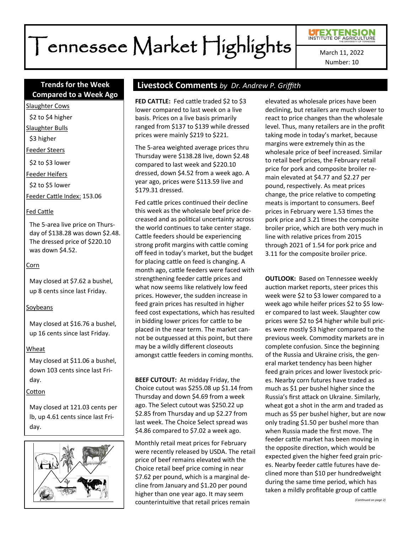# Tennessee Market Highlights

Number: 10

# **Compared to a Week Ago**

Slaughter Cows

\$2 to \$4 higher

Slaughter Bulls

\$3 higher

Feeder Steers

\$2 to \$3 lower

Feeder Heifers

\$2 to \$5 lower

Feeder Cattle Index: 153.06

#### Fed Cattle

The 5-area live price on Thursday of \$138.28 was down \$2.48. The dressed price of \$220.10 was down \$4.52.

#### Corn

May closed at \$7.62 a bushel, up 8 cents since last Friday.

# Soybeans

May closed at \$16.76 a bushel, up 16 cents since last Friday.

#### Wheat

May closed at \$11.06 a bushel, down 103 cents since last Friday.

#### Cotton

May closed at 121.03 cents per lb, up 4.61 cents since last Friday.



# **Trends for the Week Livestock Comments** *by Dr. Andrew P. Griffith*

**FED CATTLE:** Fed cattle traded \$2 to \$3 lower compared to last week on a live basis. Prices on a live basis primarily ranged from \$137 to \$139 while dressed prices were mainly \$219 to \$221.

The 5-area weighted average prices thru Thursday were \$138.28 live, down \$2.48 compared to last week and \$220.10 dressed, down \$4.52 from a week ago. A year ago, prices were \$113.59 live and \$179.31 dressed.

Fed cattle prices continued their decline this week as the wholesale beef price decreased and as political uncertainty across the world continues to take center stage. Cattle feeders should be experiencing strong profit margins with cattle coming off feed in today's market, but the budget for placing cattle on feed is changing. A month ago, cattle feeders were faced with strengthening feeder cattle prices and what now seems like relatively low feed prices. However, the sudden increase in feed grain prices has resulted in higher feed cost expectations, which has resulted in bidding lower prices for cattle to be placed in the near term. The market cannot be outguessed at this point, but there may be a wildly different closeouts amongst cattle feeders in coming months.

**BEEF CUTOUT:** At midday Friday, the Choice cutout was \$255.08 up \$1.14 from Thursday and down \$4.69 from a week ago. The Select cutout was \$250.22 up \$2.85 from Thursday and up \$2.27 from last week. The Choice Select spread was \$4.86 compared to \$7.02 a week ago.

Monthly retail meat prices for February were recently released by USDA. The retail price of beef remains elevated with the Choice retail beef price coming in near \$7.62 per pound, which is a marginal decline from January and \$1.20 per pound higher than one year ago. It may seem counterintuitive that retail prices remain

elevated as wholesale prices have been declining, but retailers are much slower to react to price changes than the wholesale level. Thus, many retailers are in the profit taking mode in today's market, because margins were extremely thin as the wholesale price of beef increased. Similar to retail beef prices, the February retail price for pork and composite broiler remain elevated at \$4.77 and \$2.27 per pound, respectively. As meat prices change, the price relative to competing meats is important to consumers. Beef prices in February were 1.53 times the pork price and 3.21 times the composite broiler price, which are both very much in line with relative prices from 2015 through 2021 of 1.54 for pork price and 3.11 for the composite broiler price.

**OUTLOOK: Based on Tennessee weekly** auction market reports, steer prices this week were \$2 to \$3 lower compared to a week ago while heifer prices \$2 to \$5 lower compared to last week. Slaughter cow prices were \$2 to \$4 higher while bull prices were mostly \$3 higher compared to the previous week. Commodity markets are in complete confusion. Since the beginning of the Russia and Ukraine crisis, the general market tendency has been higher feed grain prices and lower livestock prices. Nearby corn futures have traded as much as \$1 per bushel higher since the Russia's first attack on Ukraine. Similarly, wheat got a shot in the arm and traded as much as \$5 per bushel higher, but are now only trading \$1.50 per bushel more than when Russia made the first move. The feeder cattle market has been moving in the opposite direction, which would be expected given the higher feed grain prices. Nearby feeder cattle futures have declined more than \$10 per hundredweight during the same time period, which has taken a mildly profitable group of cattle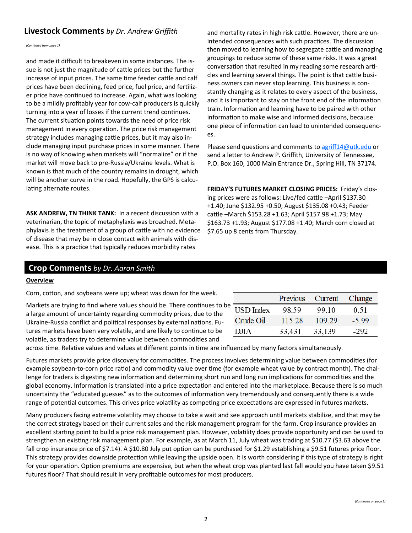# **Livestock Comments** by Dr. Andrew Griffith and mortality rates in high risk cattle. However, there are un-

*(Continued from page 1)*

and made it difficult to breakeven in some instances. The issue is not just the magnitude of cattle prices but the further increase of input prices. The same time feeder cattle and calf prices have been declining, feed price, fuel price, and fertilizer price have continued to increase. Again, what was looking to be a mildly profitably year for cow-calf producers is quickly turning into a year of losses if the current trend continues. The current situation points towards the need of price risk management in every operation. The price risk management strategy includes managing cattle prices, but it may also include managing input purchase prices in some manner. There is no way of knowing when markets will "normalize" or if the market will move back to pre-Russia/Ukraine levels. What is known is that much of the country remains in drought, which will be another curve in the road. Hopefully, the GPS is calculating alternate routes.

**ASK ANDREW, TN THINK TANK:** In a recent discussion with a veterinarian, the topic of metaphylaxis was broached. Metaphylaxis is the treatment of a group of cattle with no evidence of disease that may be in close contact with animals with disease. This is a practice that typically reduces morbidity rates

intended consequences with such practices. The discussion then moved to learning how to segregate cattle and managing groupings to reduce some of these same risks. It was a great conversation that resulted in my reading some research articles and learning several things. The point is that cattle business owners can never stop learning. This business is constantly changing as it relates to every aspect of the business, and it is important to stay on the front end of the information train. Information and learning have to be paired with other information to make wise and informed decisions, because one piece of information can lead to unintended consequences.

Please send questions and comments to [agriff14@utk.edu](mailto:agriff14@utk.edu) or send a letter to Andrew P. Griffith, University of Tennessee, P.O. Box 160, 1000 Main Entrance Dr., Spring Hill, TN 37174.

**FRIDAY'S FUTURES MARKET CLOSING PRICES:** Friday's closing prices were as follows: Live/fed cattle –April \$137.30 +1.40; June \$132.95 +0.50; August \$135.08 +0.43; Feeder cattle –March \$153.28 +1.63; April \$157.98 +1.73; May \$163.73 +1.93; August \$177.08 +1.40; March corn closed at \$7.65 up 8 cents from Thursday.

# **Crop Comments** *by Dr. Aaron Smith*

#### **Overview**

Corn, cotton, and soybeans were up; wheat was down for the week.

Markets are trying to find where values should be. There continues to be a large amount of uncertainty regarding commodity prices, due to the Ukraine-Russia conflict and political responses by external nations. Futures markets have been very volatile, and are likely to continue to be volatile, as traders try to determine value between commodities and

|                  | Previous | Current | Change  |
|------------------|----------|---------|---------|
| <b>USD</b> Index | 98.59    | 99 10   | 0.51    |
| Crude Oil        | 115.28   | 109.29  | $-5.99$ |
| $1$ ) $\pi$ A    | 33,431   | 33,139  | -292    |

across time. Relative values and values at different points in time are influenced by many factors simultaneously.

Futures markets provide price discovery for commodities. The process involves determining value between commodities (for example soybean-to-corn price ratio) and commodity value over time (for example wheat value by contract month). The challenge for traders is digesting new information and determining short run and long run implications for commodities and the global economy. Information is translated into a price expectation and entered into the marketplace. Because there is so much uncertainty the "educated guesses" as to the outcomes of information very tremendously and consequently there is a wide range of potential outcomes. This drives price volatility as competing price expectations are expressed in futures markets.

Many producers facing extreme volatility may choose to take a wait and see approach until markets stabilize, and that may be the correct strategy based on their current sales and the risk management program for the farm. Crop insurance provides an excellent starting point to build a price risk management plan. However, volatility does provide opportunity and can be used to strengthen an existing risk management plan. For example, as at March 11, July wheat was trading at \$10.77 (\$3.63 above the fall crop insurance price of \$7.14). A \$10.80 July put option can be purchased for \$1.29 establishing a \$9.51 futures price floor. This strategy provides downside protection while leaving the upside open. It is worth considering if this type of strategy is right for your operation. Option premiums are expensive, but when the wheat crop was planted last fall would you have taken \$9.51 futures floor? That should result in very profitable outcomes for most producers.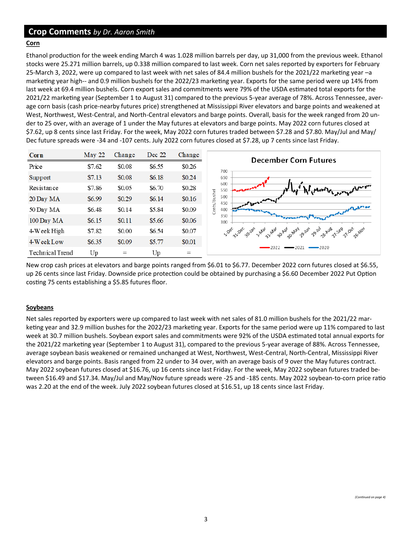# **Crop Comments** *by Dr. Aaron Smith*

#### **Corn**

Ethanol production for the week ending March 4 was 1.028 million barrels per day, up 31,000 from the previous week. Ethanol stocks were 25.271 million barrels, up 0.338 million compared to last week. Corn net sales reported by exporters for February 25-March 3, 2022, were up compared to last week with net sales of 84.4 million bushels for the 2021/22 marketing year –a marketing year high-- and 0.9 million bushels for the 2022/23 marketing year. Exports for the same period were up 14% from last week at 69.4 million bushels. Corn export sales and commitments were 79% of the USDA estimated total exports for the 2021/22 marketing year (September 1 to August 31) compared to the previous 5-year average of 78%. Across Tennessee, average corn basis (cash price-nearby futures price) strengthened at Mississippi River elevators and barge points and weakened at West, Northwest, West-Central, and North-Central elevators and barge points. Overall, basis for the week ranged from 20 under to 25 over, with an average of 1 under the May futures at elevators and barge points. May 2022 corn futures closed at \$7.62, up 8 cents since last Friday. For the week, May 2022 corn futures traded between \$7.28 and \$7.80. May/Jul and May/ Dec future spreads were -34 and -107 cents. July 2022 corn futures closed at \$7.28, up 7 cents since last Friday.



New crop cash prices at elevators and barge points ranged from \$6.01 to \$6.77. December 2022 corn futures closed at \$6.55, up 26 cents since last Friday. Downside price protection could be obtained by purchasing a \$6.60 December 2022 Put Option costing 75 cents establishing a \$5.85 futures floor.

#### **Soybeans**

Net sales reported by exporters were up compared to last week with net sales of 81.0 million bushels for the 2021/22 marketing year and 32.9 million bushes for the 2022/23 marketing year. Exports for the same period were up 11% compared to last week at 30.7 million bushels. Soybean export sales and commitments were 92% of the USDA estimated total annual exports for the 2021/22 marketing year (September 1 to August 31), compared to the previous 5-year average of 88%. Across Tennessee, average soybean basis weakened or remained unchanged at West, Northwest, West-Central, North-Central, Mississippi River elevators and barge points. Basis ranged from 22 under to 34 over, with an average basis of 9 over the May futures contract. May 2022 soybean futures closed at \$16.76, up 16 cents since last Friday. For the week, May 2022 soybean futures traded between \$16.49 and \$17.34. May/Jul and May/Nov future spreads were -25 and -185 cents. May 2022 soybean-to-corn price ratio was 2.20 at the end of the week. July 2022 soybean futures closed at \$16.51, up 18 cents since last Friday.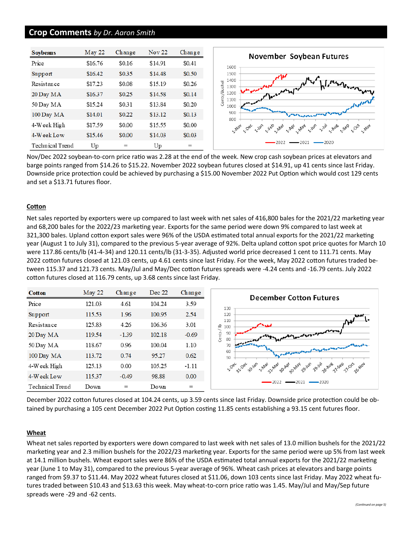## **Crop Comments** *by Dr. Aaron Smith*

| Soybeans        | May 22  | Change | <b>Nov 22</b> | Change |
|-----------------|---------|--------|---------------|--------|
| Price           | \$16.76 | \$0.16 | \$14.91       | \$0.41 |
| Support         | \$16.42 | \$0.35 | \$14.48       | \$0.50 |
| Resistance      | \$17.23 | \$0.08 | \$15.19       | \$0.26 |
| 20 Day MA       | \$16.37 | \$0.25 | \$14.58       | \$0.14 |
| 50 Day MA       | \$15.24 | \$0.31 | \$13.84       | \$0.20 |
| 100 Day MA      | \$14.01 | \$0.22 | \$13.12       | \$0.13 |
| 4-Week High     | \$17.59 | \$0.00 | \$15.55       | \$0.00 |
| 4-Week Low      | \$15.46 | \$0.00 | \$14.03       | \$0.03 |
| Technical Trend | Up      | $=$    | Up            | $=$    |

Nov/Dec 2022 soybean-to-corn price ratio was 2.28 at the end of the week. New crop cash soybean prices at elevators and barge points ranged from \$14.26 to \$15.22. November 2022 soybean futures closed at \$14.91, up 41 cents since last Friday. Downside price protection could be achieved by purchasing a \$15.00 November 2022 Put Option which would cost 129 cents and set a \$13.71 futures floor.

#### **Cotton**

Net sales reported by exporters were up compared to last week with net sales of 416,800 bales for the 2021/22 marketing year and 68,200 bales for the 2022/23 marketing year. Exports for the same period were down 9% compared to last week at 321,300 bales. Upland cotton export sales were 96% of the USDA estimated total annual exports for the 2021/22 marketing year (August 1 to July 31), compared to the previous 5-year average of 92%. Delta upland cotton spot price quotes for March 10 were 117.86 cents/lb (41-4-34) and 120.11 cents/lb (31-3-35). Adjusted world price decreased 1 cent to 111.71 cents. May 2022 cotton futures closed at 121.03 cents, up 4.61 cents since last Friday. For the week, May 2022 cotton futures traded between 115.37 and 121.73 cents. May/Jul and May/Dec cotton futures spreads were -4.24 cents and -16.79 cents. July 2022 cotton futures closed at 116.79 cents, up 3.68 cents since last Friday.



December 2022 cotton futures closed at 104.24 cents, up 3.59 cents since last Friday. Downside price protection could be obtained by purchasing a 105 cent December 2022 Put Option costing 11.85 cents establishing a 93.15 cent futures floor.

#### **Wheat**

Wheat net sales reported by exporters were down compared to last week with net sales of 13.0 million bushels for the 2021/22 marketing year and 2.3 million bushels for the 2022/23 marketing year. Exports for the same period were up 5% from last week at 14.1 million bushels. Wheat export sales were 86% of the USDA estimated total annual exports for the 2021/22 marketing year (June 1 to May 31), compared to the previous 5-year average of 96%. Wheat cash prices at elevators and barge points ranged from \$9.37 to \$11.44. May 2022 wheat futures closed at \$11.06, down 103 cents since last Friday. May 2022 wheat futures traded between \$10.43 and \$13.63 this week. May wheat-to-corn price ratio was 1.45. May/Jul and May/Sep future spreads were -29 and -62 cents.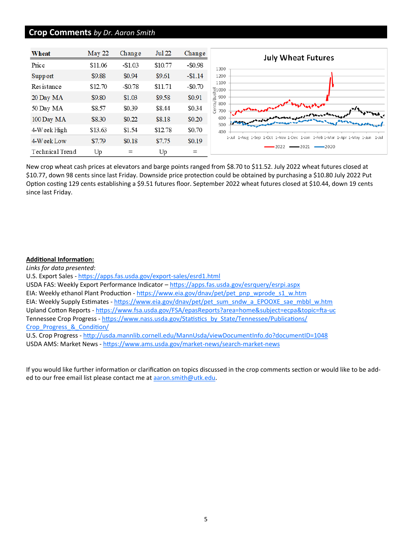### **Crop Comments** *by Dr. Aaron Smith*



New crop wheat cash prices at elevators and barge points ranged from \$8.70 to \$11.52. July 2022 wheat futures closed at \$10.77, down 98 cents since last Friday. Downside price protection could be obtained by purchasing a \$10.80 July 2022 Put Option costing 129 cents establishing a \$9.51 futures floor. September 2022 wheat futures closed at \$10.44, down 19 cents since last Friday.

#### **Additional Information:**

*Links for data presented*: U.S. Export Sales - [https://apps.fas.usda.gov/export](https://apps.fas.usda.gov/export-sales/esrd1.html)-sales/esrd1.html USDA FAS: Weekly Export Performance Indicator - <https://apps.fas.usda.gov/esrquery/esrpi.aspx> EIA: Weekly ethanol Plant Production - [https://www.eia.gov/dnav/pet/pet\\_pnp\\_wprode\\_s1\\_w.htm](https://www.eia.gov/dnav/pet/pet_pnp_wprode_s1_w.htm) EIA: Weekly Supply Estimates - [https://www.eia.gov/dnav/pet/pet\\_sum\\_sndw\\_a\\_EPOOXE\\_sae\\_mbbl\\_w.htm](https://www.eia.gov/dnav/pet/pet_sum_sndw_a_EPOOXE_sae_mbbl_w.htm) Upland Cotton Reports - [https://www.fsa.usda.gov/FSA/epasReports?area=home&subject=ecpa&topic=fta](https://www.fsa.usda.gov/FSA/epasReports?area=home&subject=ecpa&topic=fta-uc)-uc Tennessee Crop Progress - [https://www.nass.usda.gov/Statistics\\_by\\_State/Tennessee/Publications/](https://www.nass.usda.gov/Statistics_by_State/Tennessee/Publications/Crop_Progress_&_Condition/) [Crop\\_Progress\\_&\\_Condition/](https://www.nass.usda.gov/Statistics_by_State/Tennessee/Publications/Crop_Progress_&_Condition/) U.S. Crop Progress - <http://usda.mannlib.cornell.edu/MannUsda/viewDocumentInfo.do?documentID=1048> USDA AMS: Market News - [https://www.ams.usda.gov/market](https://www.ams.usda.gov/market-news/search-market-news)-news/search-market-news

If you would like further information or clarification on topics discussed in the crop comments section or would like to be added to our free email list please contact me at aaron.smith@utk.edu.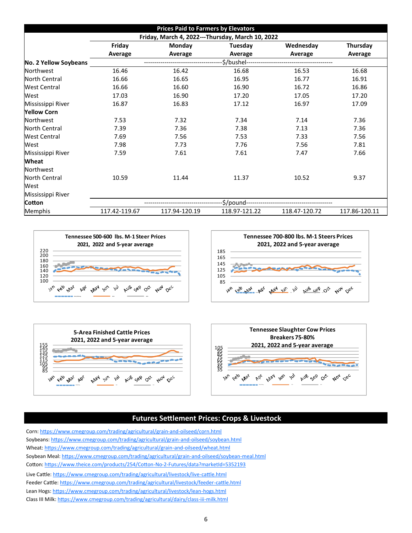| <b>Prices Paid to Farmers by Elevators</b> |                                                  |               |               |               |               |  |  |  |
|--------------------------------------------|--------------------------------------------------|---------------|---------------|---------------|---------------|--|--|--|
|                                            | Friday, March 4, 2022---Thursday, March 10, 2022 |               |               |               |               |  |  |  |
|                                            | Friday                                           | Thursday      |               |               |               |  |  |  |
|                                            | Average                                          | Average       | Average       | Average       | Average       |  |  |  |
| No. 2 Yellow Soybeans                      | \$/bushel---                                     |               |               |               |               |  |  |  |
| <b>Northwest</b>                           | 16.46                                            | 16.42         | 16.68         | 16.53         | 16.68         |  |  |  |
| <b>North Central</b>                       | 16.66                                            | 16.65         | 16.95         | 16.77         | 16.91         |  |  |  |
| <b>West Central</b>                        | 16.66                                            | 16.60         | 16.90         | 16.72         | 16.86         |  |  |  |
| West                                       | 17.03                                            | 16.90         | 17.20         | 17.05         | 17.20         |  |  |  |
| Mississippi River                          | 16.87                                            | 16.83         | 17.12         | 16.97         | 17.09         |  |  |  |
| <b>Yellow Corn</b>                         |                                                  |               |               |               |               |  |  |  |
| Northwest                                  | 7.53                                             | 7.32          | 7.34          | 7.14          | 7.36          |  |  |  |
| <b>North Central</b>                       | 7.39                                             | 7.36          | 7.38          | 7.13          | 7.36          |  |  |  |
| <b>West Central</b>                        | 7.69                                             | 7.56          | 7.53          | 7.33          | 7.56          |  |  |  |
| West                                       | 7.98                                             | 7.73          | 7.76          | 7.56          | 7.81          |  |  |  |
| Mississippi River                          | 7.59                                             | 7.61          | 7.61          | 7.47          | 7.66          |  |  |  |
| Wheat                                      |                                                  |               |               |               |               |  |  |  |
| Northwest                                  |                                                  |               |               |               |               |  |  |  |
| <b>North Central</b>                       | 10.59                                            | 11.44         | 11.37         | 10.52         | 9.37          |  |  |  |
| West                                       |                                                  |               |               |               |               |  |  |  |
| Mississippi River                          |                                                  |               |               |               |               |  |  |  |
| Cotton                                     | \$/pound-                                        |               |               |               |               |  |  |  |
| Memphis                                    | 117.42-119.67                                    | 117.94-120.19 | 118.97-121.22 | 118.47-120.72 | 117.86-120.11 |  |  |  |







# **Futures Settlement Prices: Crops & Livestock**

Corn: [https://www.cmegroup.com/trading/agricultural/grain](https://www.cmegroup.com/trading/agricultural/grain-and-oilseed/corn.html)-and-oilseed/corn.html Soybeans: [https://www.cmegroup.com/trading/agricultural/grain](https://www.cmegroup.com/trading/agricultural/grain-and-oilseed/soybean.html)-and-oilseed/soybean.html Wheat: [https://www.cmegroup.com/trading/agricultural/grain](https://www.cmegroup.com/trading/agricultural/grain-and-oilseed/wheat.html)-and-oilseed/wheat.html Soybean Meal: [https://www.cmegroup.com/trading/agricultural/grain](https://www.cmegroup.com/trading/agricultural/grain-and-oilseed/soybean-meal.html)-and-oilseed/soybean-meal.html Cotton: [https://www.theice.com/products/254/Cotton](https://www.theice.com/products/254/Cotton-No-2-Futures/data?marketId=5352193)-No-2-Futures/data?marketId=5352193 Live Cattle: [https://www.cmegroup.com/trading/agricultural/livestock/live](https://www.cmegroup.com/trading/agricultural/livestock/live-cattle.html)-cattle.html Feeder Cattle: [https://www.cmegroup.com/trading/agricultural/livestock/feeder](https://www.cmegroup.com/trading/agricultural/livestock/feeder-cattle.html)-cattle.html Lean Hogs: [https://www.cmegroup.com/trading/agricultural/livestock/lean](https://www.cmegroup.com/trading/agricultural/livestock/lean-hogs.html)-hogs.html Class III Milk: [https://www.cmegroup.com/trading/agricultural/dairy/class](https://www.cmegroup.com/trading/agricultural/dairy/class-iii-milk.html)-iii-milk.html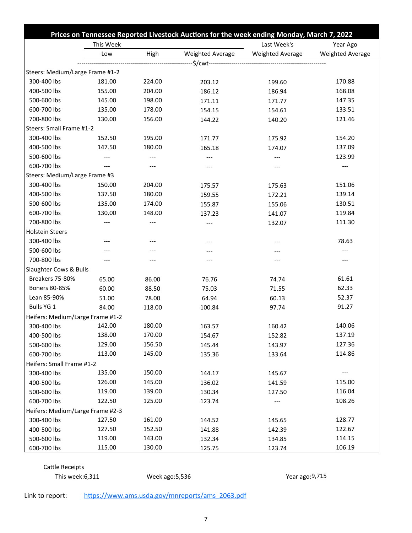|                                  | Prices on Tennessee Reported Livestock Auctions for the week ending Monday, March 7, 2022 |        |                  |                  |                  |  |
|----------------------------------|-------------------------------------------------------------------------------------------|--------|------------------|------------------|------------------|--|
|                                  | This Week                                                                                 |        |                  | Last Week's      | Year Ago         |  |
|                                  | Low                                                                                       | High   | Weighted Average | Weighted Average | Weighted Average |  |
|                                  |                                                                                           |        |                  |                  |                  |  |
| Steers: Medium/Large Frame #1-2  |                                                                                           |        |                  |                  |                  |  |
| 300-400 lbs                      | 181.00                                                                                    | 224.00 | 203.12           | 199.60           | 170.88           |  |
| 400-500 lbs                      | 155.00                                                                                    | 204.00 | 186.12           | 186.94           | 168.08           |  |
| 500-600 lbs                      | 145.00                                                                                    | 198.00 | 171.11           | 171.77           | 147.35           |  |
| 600-700 lbs                      | 135.00                                                                                    | 178.00 | 154.15           | 154.61           | 133.51           |  |
| 700-800 lbs                      | 130.00                                                                                    | 156.00 | 144.22           | 140.20           | 121.46           |  |
| Steers: Small Frame #1-2         |                                                                                           |        |                  |                  |                  |  |
| 300-400 lbs                      | 152.50                                                                                    | 195.00 | 171.77           | 175.92           | 154.20           |  |
| 400-500 lbs                      | 147.50                                                                                    | 180.00 | 165.18           | 174.07           | 137.09           |  |
| 500-600 lbs                      | $---$                                                                                     | $---$  | ---              | ---              | 123.99           |  |
| 600-700 lbs                      |                                                                                           |        | ---              |                  |                  |  |
| Steers: Medium/Large Frame #3    |                                                                                           |        |                  |                  |                  |  |
| 300-400 lbs                      | 150.00                                                                                    | 204.00 | 175.57           | 175.63           | 151.06           |  |
| 400-500 lbs                      | 137.50                                                                                    | 180.00 | 159.55           | 172.21           | 139.14           |  |
| 500-600 lbs                      | 135.00                                                                                    | 174.00 | 155.87           | 155.06           | 130.51           |  |
| 600-700 lbs                      | 130.00                                                                                    | 148.00 | 137.23           | 141.07           | 119.84           |  |
| 700-800 lbs                      | $---$                                                                                     |        | ---              | 132.07           | 111.30           |  |
| <b>Holstein Steers</b>           |                                                                                           |        |                  |                  |                  |  |
| 300-400 lbs                      | ---                                                                                       |        | ---              | ---              | 78.63            |  |
| 500-600 lbs                      |                                                                                           |        |                  | ---              |                  |  |
| 700-800 lbs                      | ---                                                                                       | ---    | ---              | $---$            |                  |  |
| Slaughter Cows & Bulls           |                                                                                           |        |                  |                  |                  |  |
| Breakers 75-80%                  | 65.00                                                                                     | 86.00  | 76.76            | 74.74            | 61.61            |  |
| Boners 80-85%                    | 60.00                                                                                     | 88.50  | 75.03            | 71.55            | 62.33            |  |
| Lean 85-90%                      | 51.00                                                                                     | 78.00  | 64.94            | 60.13            | 52.37            |  |
| Bulls YG 1                       | 84.00                                                                                     | 118.00 | 100.84           | 97.74            | 91.27            |  |
| Heifers: Medium/Large Frame #1-2 |                                                                                           |        |                  |                  |                  |  |
| 300-400 lbs                      | 142.00                                                                                    | 180.00 | 163.57           | 160.42           | 140.06           |  |
| 400-500 lbs                      | 138.00                                                                                    | 170.00 | 154.67           | 152.82           | 137.19           |  |
| 500-600 lbs                      | 129.00                                                                                    | 156.50 | 145.44           | 143.97           | 127.36           |  |
| 600-700 lbs                      | 113.00                                                                                    | 145.00 | 135.36           | 133.64           | 114.86           |  |
| Heifers: Small Frame #1-2        |                                                                                           |        |                  |                  |                  |  |
| 300-400 lbs                      | 135.00                                                                                    | 150.00 | 144.17           | 145.67           |                  |  |
| 400-500 lbs                      | 126.00                                                                                    | 145.00 | 136.02           | 141.59           | 115.00           |  |
| 500-600 lbs                      | 119.00                                                                                    | 139.00 | 130.34           | 127.50           | 116.04           |  |
| 600-700 lbs                      | 122.50                                                                                    | 125.00 | 123.74           | ---              | 108.26           |  |
| Heifers: Medium/Large Frame #2-3 |                                                                                           |        |                  |                  |                  |  |
| 300-400 lbs                      | 127.50                                                                                    | 161.00 | 144.52           | 145.65           | 128.77           |  |
| 400-500 lbs                      | 127.50                                                                                    | 152.50 | 141.88           | 142.39           | 122.67           |  |
| 500-600 lbs                      | 119.00                                                                                    | 143.00 | 132.34           | 134.85           | 114.15           |  |
| 600-700 lbs                      | 115.00                                                                                    | 130.00 | 125.75           | 123.74           | 106.19           |  |

Cattle Receipts This week:6,311 Week ago:5,536 Year ago:9,715